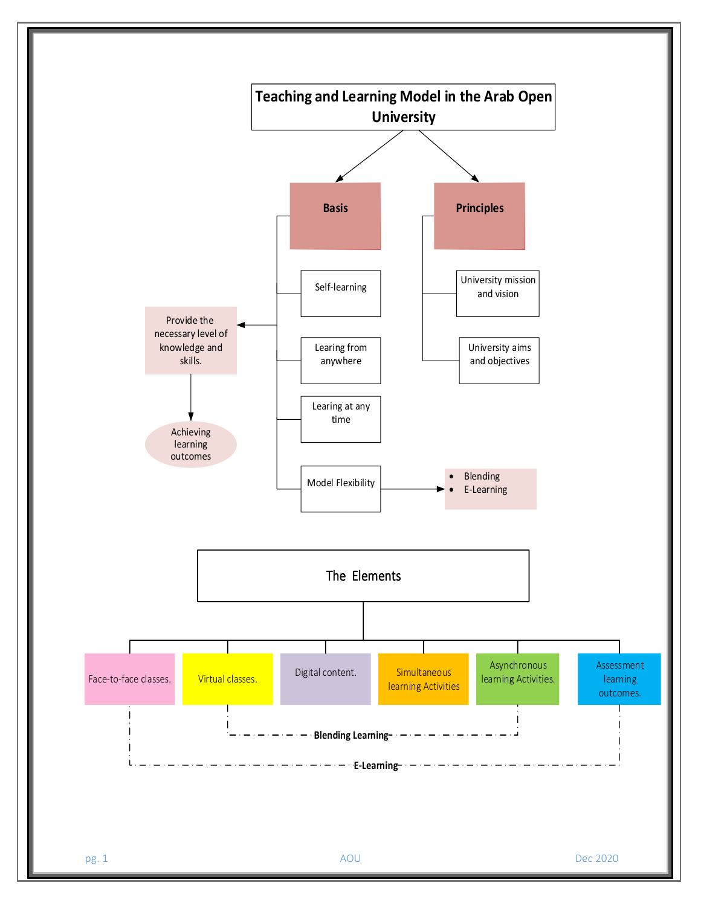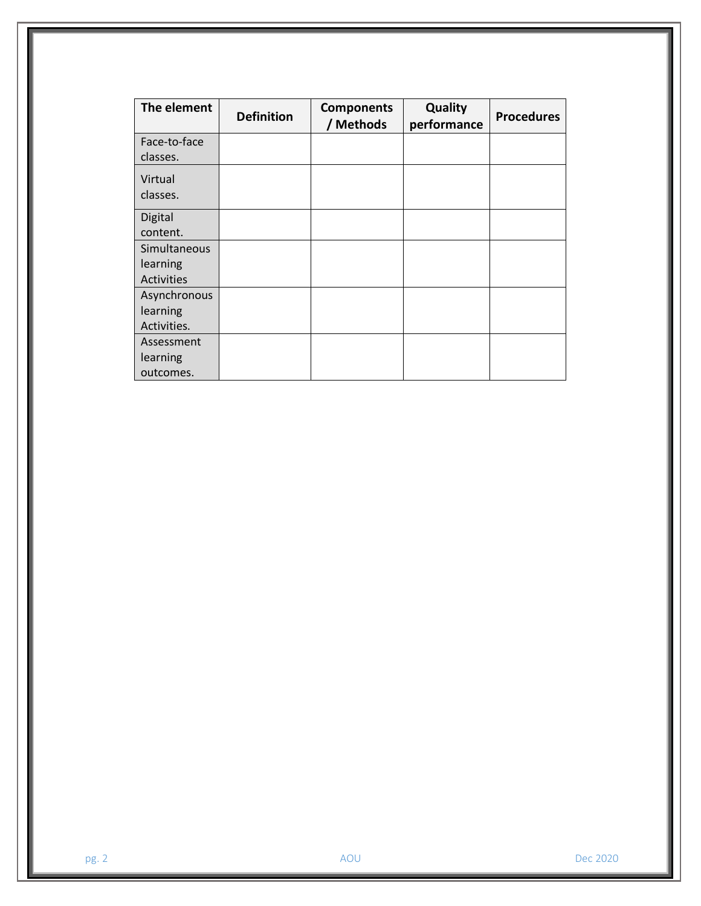| The element                             | <b>Definition</b> | <b>Components</b><br>/ Methods | Quality<br>performance | <b>Procedures</b> |
|-----------------------------------------|-------------------|--------------------------------|------------------------|-------------------|
| Face-to-face<br>classes.                |                   |                                |                        |                   |
| Virtual<br>classes.                     |                   |                                |                        |                   |
| Digital<br>content.                     |                   |                                |                        |                   |
| Simultaneous<br>learning<br>Activities  |                   |                                |                        |                   |
| Asynchronous<br>learning<br>Activities. |                   |                                |                        |                   |
| Assessment<br>learning<br>outcomes.     |                   |                                |                        |                   |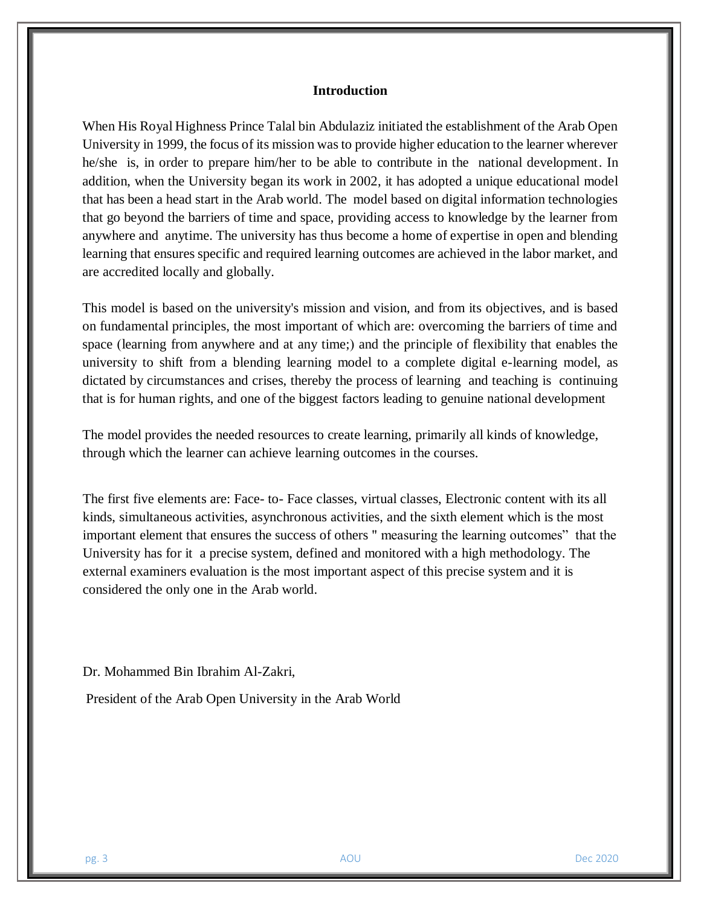#### **Introduction**

When His Royal Highness Prince Talal bin Abdulaziz initiated the establishment of the Arab Open University in 1999, the focus of its mission was to provide higher education to the learner wherever he/she is, in order to prepare him/her to be able to contribute in the national development. In addition, when the University began its work in 2002, it has adopted a unique educational model that has been a head start in the Arab world. The model based on digital information technologies that go beyond the barriers of time and space, providing access to knowledge by the learner from anywhere and anytime. The university has thus become a home of expertise in open and blending learning that ensures specific and required learning outcomes are achieved in the labor market, and are accredited locally and globally.

This model is based on the university's mission and vision, and from its objectives, and is based on fundamental principles, the most important of which are: overcoming the barriers of time and space (learning from anywhere and at any time;) and the principle of flexibility that enables the university to shift from a blending learning model to a complete digital e-learning model, as dictated by circumstances and crises, thereby the process of learning and teaching is continuing that is for human rights, and one of the biggest factors leading to genuine national development

The model provides the needed resources to create learning, primarily all kinds of knowledge, through which the learner can achieve learning outcomes in the courses.

The first five elements are: Face- to- Face classes, virtual classes, Electronic content with its all kinds, simultaneous activities, asynchronous activities, and the sixth element which is the most important element that ensures the success of others " measuring the learning outcomes" that the University has for it a precise system, defined and monitored with a high methodology. The external examiners evaluation is the most important aspect of this precise system and it is considered the only one in the Arab world.

Dr. Mohammed Bin Ibrahim Al-Zakri,

President of the Arab Open University in the Arab World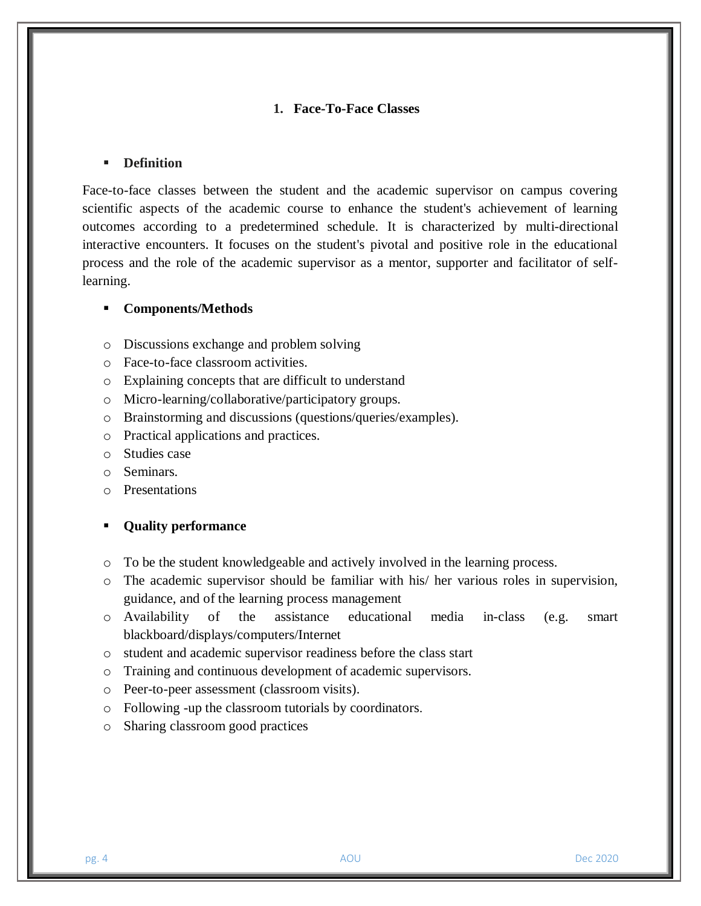# **1. Face-To-Face Classes**

## **Definition**

Face-to-face classes between the student and the academic supervisor on campus covering scientific aspects of the academic course to enhance the student's achievement of learning outcomes according to a predetermined schedule. It is characterized by multi-directional interactive encounters. It focuses on the student's pivotal and positive role in the educational process and the role of the academic supervisor as a mentor, supporter and facilitator of selflearning.

#### **Components/Methods**

- o Discussions exchange and problem solving
- o Face-to-face classroom activities.
- o Explaining concepts that are difficult to understand
- o Micro-learning/collaborative/participatory groups.
- o Brainstorming and discussions (questions/queries/examples).
- o Practical applications and practices.
- o Studies case
- o Seminars.
- o Presentations

## **Quality performance**

- o To be the student knowledgeable and actively involved in the learning process.
- o The academic supervisor should be familiar with his/ her various roles in supervision, guidance, and of the learning process management
- o Availability of the assistance educational media in-class (e.g. smart blackboard/displays/computers/Internet
- o student and academic supervisor readiness before the class start
- o Training and continuous development of academic supervisors.
- o Peer-to-peer assessment (classroom visits).
- o Following -up the classroom tutorials by coordinators.
- o Sharing classroom good practices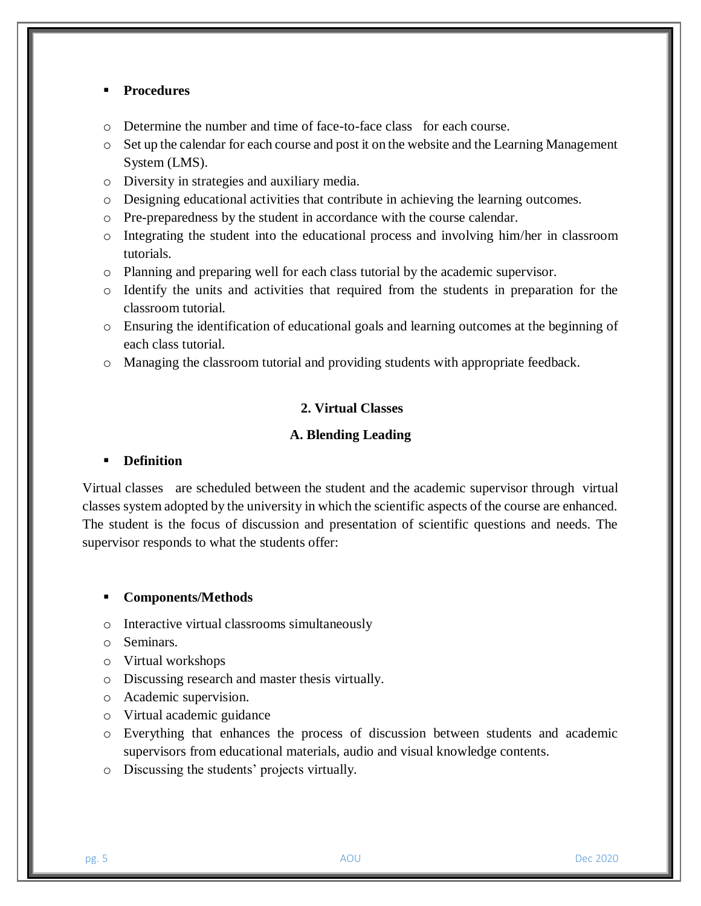## **Procedures**

- o Determine the number and time of face-to-face class for each course.
- o Set up the calendar for each course and post it on the website and the Learning Management System (LMS).
- o Diversity in strategies and auxiliary media.
- o Designing educational activities that contribute in achieving the learning outcomes.
- o Pre-preparedness by the student in accordance with the course calendar.
- o Integrating the student into the educational process and involving him/her in classroom tutorials.
- o Planning and preparing well for each class tutorial by the academic supervisor.
- o Identify the units and activities that required from the students in preparation for the classroom tutorial.
- o Ensuring the identification of educational goals and learning outcomes at the beginning of each class tutorial.
- o Managing the classroom tutorial and providing students with appropriate feedback.

# **2. Virtual Classes**

# **A. Blending Leading**

# **Definition**

Virtual classes are scheduled between the student and the academic supervisor through virtual classes system adopted by the university in which the scientific aspects of the course are enhanced. The student is the focus of discussion and presentation of scientific questions and needs. The supervisor responds to what the students offer:

## **Components/Methods**

- o Interactive virtual classrooms simultaneously
- o Seminars.
- o Virtual workshops
- o Discussing research and master thesis virtually.
- o Academic supervision.
- o Virtual academic guidance
- o Everything that enhances the process of discussion between students and academic supervisors from educational materials, audio and visual knowledge contents.
- o Discussing the students' projects virtually.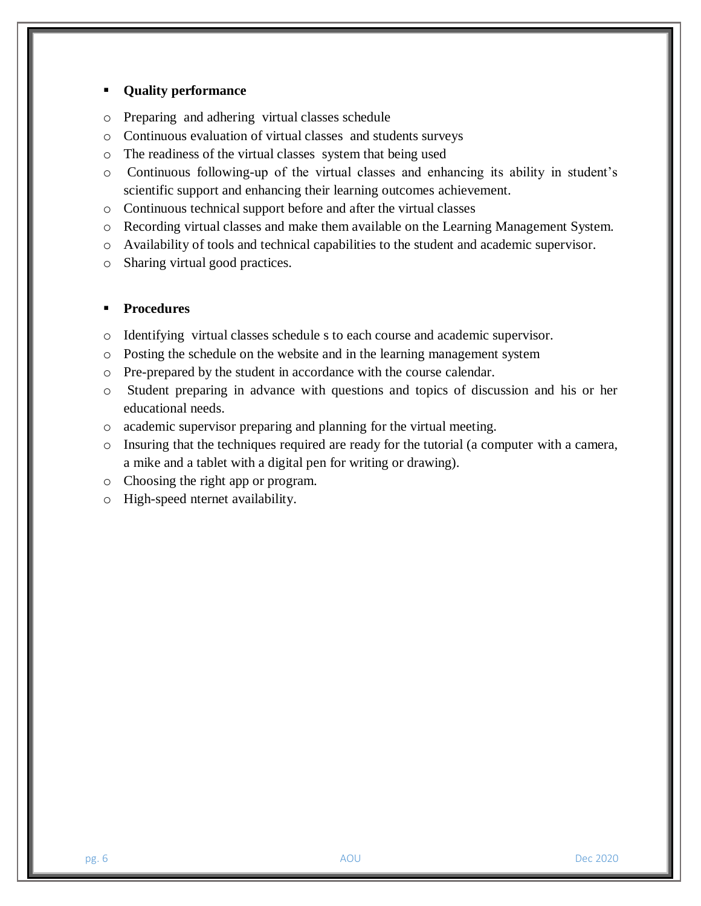## **Quality performance**

- o Preparing and adhering virtual classes schedule
- o Continuous evaluation of virtual classes and students surveys
- o The readiness of the virtual classes system that being used
- o Continuous following-up of the virtual classes and enhancing its ability in student's scientific support and enhancing their learning outcomes achievement.
- o Continuous technical support before and after the virtual classes
- o Recording virtual classes and make them available on the Learning Management System.
- o Availability of tools and technical capabilities to the student and academic supervisor.
- o Sharing virtual good practices.

- o Identifying virtual classes schedule s to each course and academic supervisor.
- o Posting the schedule on the website and in the learning management system
- o Pre-prepared by the student in accordance with the course calendar.
- o Student preparing in advance with questions and topics of discussion and his or her educational needs.
- o academic supervisor preparing and planning for the virtual meeting.
- o Insuring that the techniques required are ready for the tutorial (a computer with a camera, a mike and a tablet with a digital pen for writing or drawing).
- o Choosing the right app or program.
- o High-speed nternet availability.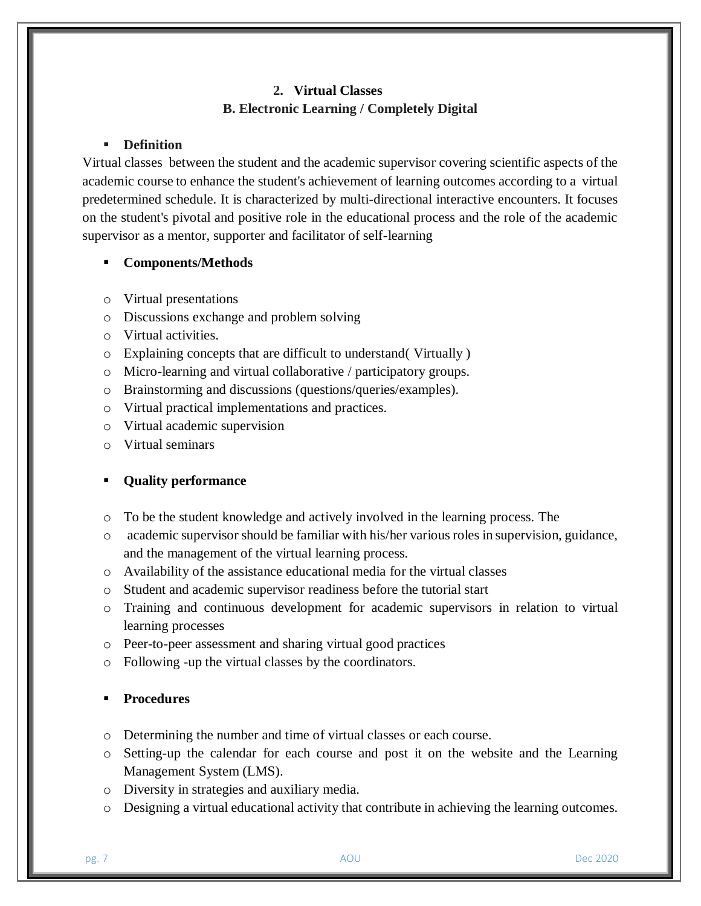# **2. Virtual Classes B. Electronic Learning / Completely Digital**

# **Definition**

Virtual classes between the student and the academic supervisor covering scientific aspects of the academic course to enhance the student's achievement of learning outcomes according to a virtual predetermined schedule. It is characterized by multi-directional interactive encounters. It focuses on the student's pivotal and positive role in the educational process and the role of the academic supervisor as a mentor, supporter and facilitator of self-learning

# **Components/Methods**

- o Virtual presentations
- o Discussions exchange and problem solving
- o Virtual activities.
- o Explaining concepts that are difficult to understand( Virtually )
- o Micro-learning and virtual collaborative / participatory groups.
- o Brainstorming and discussions (questions/queries/examples).
- o Virtual practical implementations and practices.
- o Virtual academic supervision
- o Virtual seminars

# **Quality performance**

- o To be the student knowledge and actively involved in the learning process. The
- $\circ$  academic supervisor should be familiar with his/her various roles in supervision, guidance, and the management of the virtual learning process.
- o Availability of the assistance educational media for the virtual classes
- o Student and academic supervisor readiness before the tutorial start
- o Training and continuous development for academic supervisors in relation to virtual learning processes
- o Peer-to-peer assessment and sharing virtual good practices
- o Following -up the virtual classes by the coordinators.

- o Determining the number and time of virtual classes or each course.
- o Setting-up the calendar for each course and post it on the website and the Learning Management System (LMS).
- o Diversity in strategies and auxiliary media.
- o Designing a virtual educational activity that contribute in achieving the learning outcomes.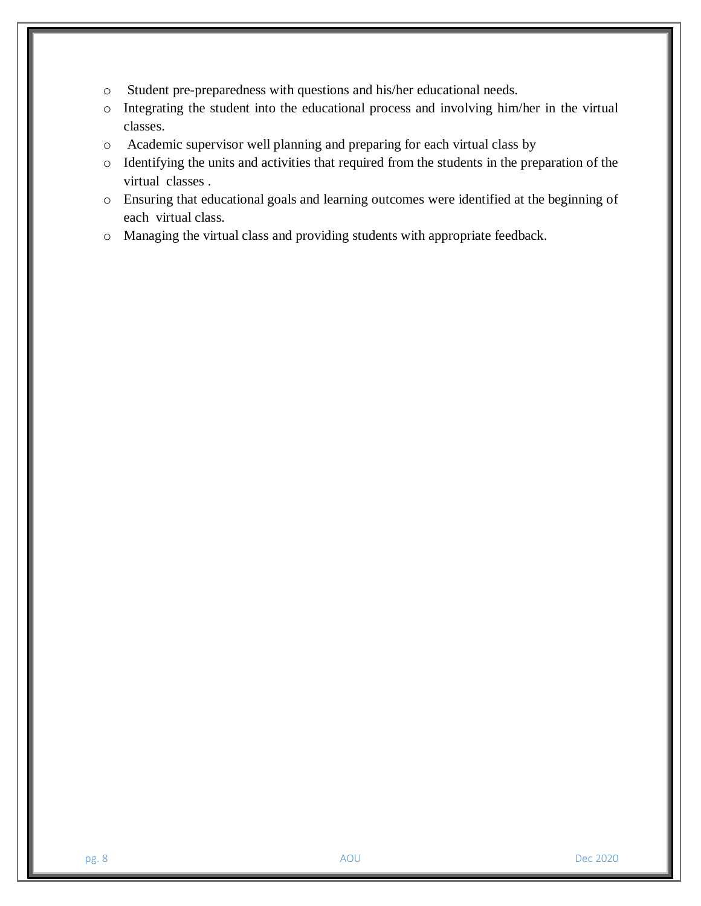- o Student pre-preparedness with questions and his/her educational needs.
- o Integrating the student into the educational process and involving him/her in the virtual classes.
- o Academic supervisor well planning and preparing for each virtual class by
- o Identifying the units and activities that required from the students in the preparation of the virtual classes .
- o Ensuring that educational goals and learning outcomes were identified at the beginning of each virtual class.
- o Managing the virtual class and providing students with appropriate feedback.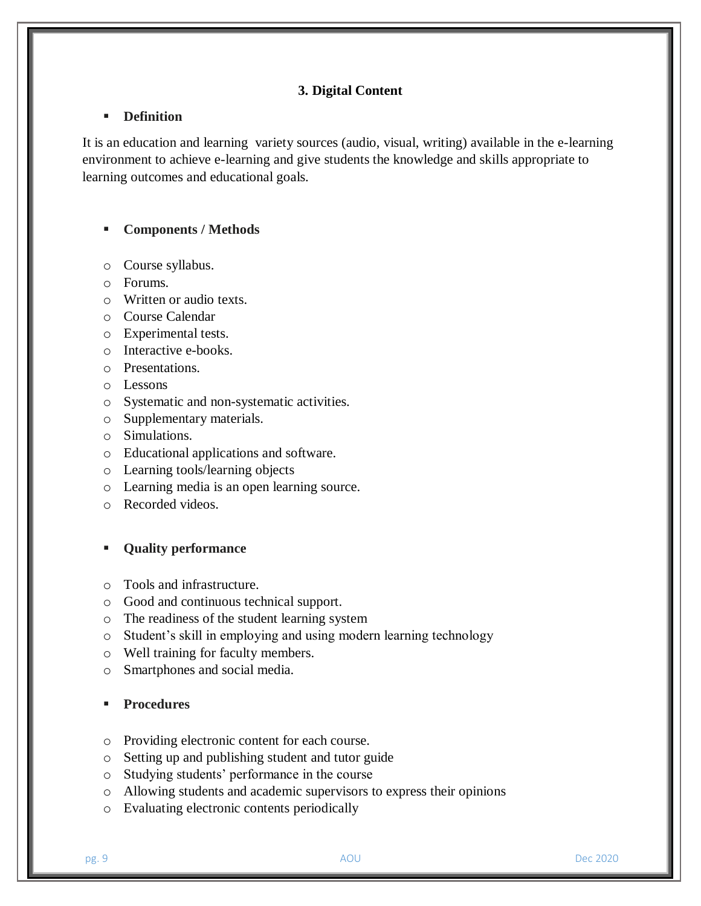# **3. Digital Content**

#### **Definition**

It is an education and learning variety sources (audio, visual, writing) available in the e-learning environment to achieve e-learning and give students the knowledge and skills appropriate to learning outcomes and educational goals.

## **Components / Methods**

- o Course syllabus.
- o Forums.
- o Written or audio texts.
- o Course Calendar
- o Experimental tests.
- o Interactive e-books.
- o Presentations.
- o Lessons
- o Systematic and non-systematic activities.
- o Supplementary materials.
- o Simulations.
- o Educational applications and software.
- o Learning tools/learning objects
- o Learning media is an open learning source.
- o Recorded videos.

#### **Quality performance**

- o Tools and infrastructure.
- o Good and continuous technical support.
- o The readiness of the student learning system
- o Student's skill in employing and using modern learning technology
- o Well training for faculty members.
- o Smartphones and social media.

- o Providing electronic content for each course.
- o Setting up and publishing student and tutor guide
- o Studying students' performance in the course
- o Allowing students and academic supervisors to express their opinions
- o Evaluating electronic contents periodically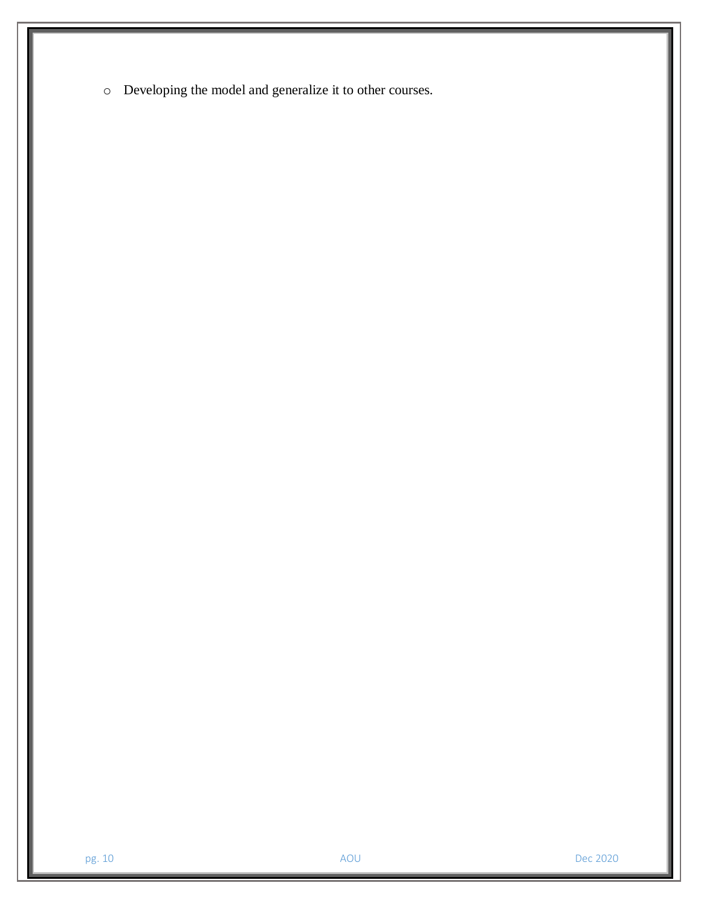o Developing the model and generalize it to other courses.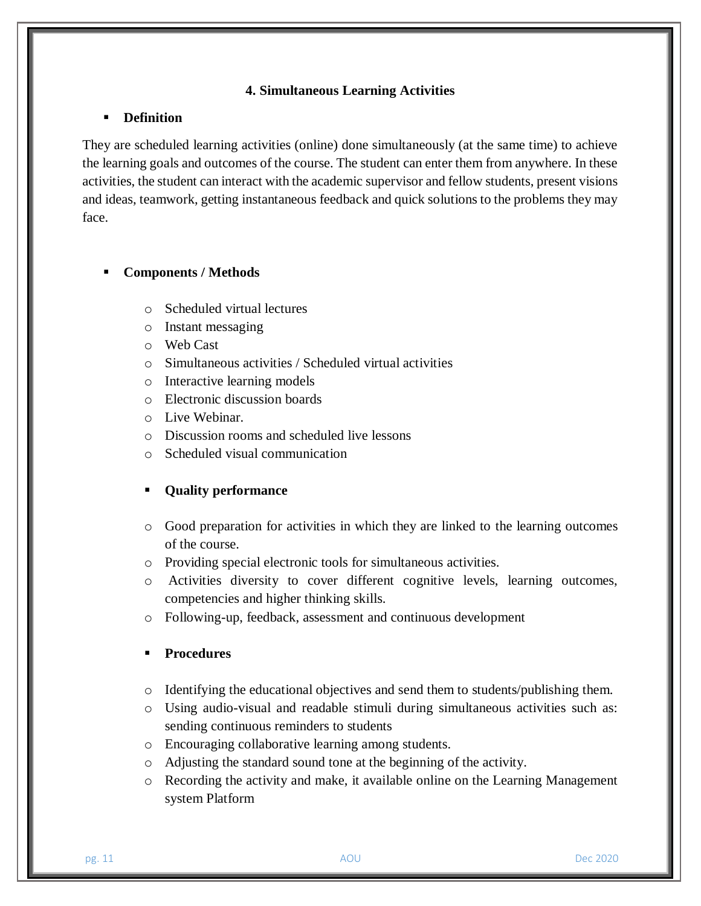# **4. Simultaneous Learning Activities**

#### **Definition**

They are scheduled learning activities (online) done simultaneously (at the same time) to achieve the learning goals and outcomes of the course. The student can enter them from anywhere. In these activities, the student can interact with the academic supervisor and fellow students, present visions and ideas, teamwork, getting instantaneous feedback and quick solutions to the problems they may face.

## **Components / Methods**

- o Scheduled virtual lectures
- o Instant messaging
- o Web Cast
- o Simultaneous activities / Scheduled virtual activities
- o Interactive learning models
- o Electronic discussion boards
- o Live Webinar.
- o Discussion rooms and scheduled live lessons
- o Scheduled visual communication

# **Quality performance**

- o Good preparation for activities in which they are linked to the learning outcomes of the course.
- o Providing special electronic tools for simultaneous activities.
- o Activities diversity to cover different cognitive levels, learning outcomes, competencies and higher thinking skills.
- o Following-up, feedback, assessment and continuous development

- o Identifying the educational objectives and send them to students/publishing them.
- o Using audio-visual and readable stimuli during simultaneous activities such as: sending continuous reminders to students
- o Encouraging collaborative learning among students.
- o Adjusting the standard sound tone at the beginning of the activity.
- o Recording the activity and make, it available online on the Learning Management system Platform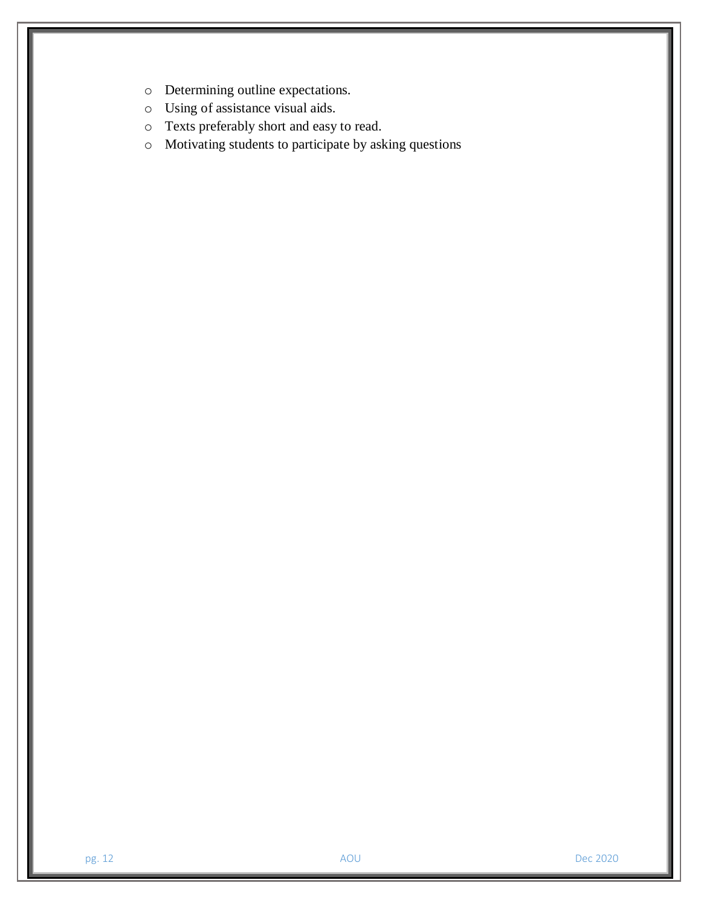- o Determining outline expectations.
- o Using of assistance visual aids.
- o Texts preferably short and easy to read.
- o Motivating students to participate by asking questions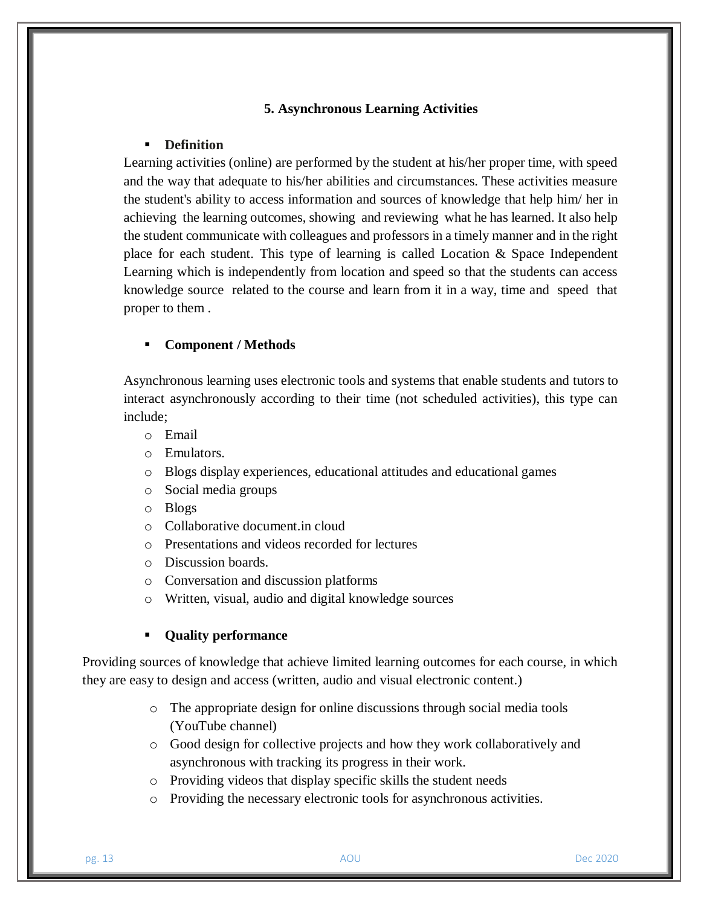#### **5. Asynchronous Learning Activities**

## **Definition**

Learning activities (online) are performed by the student at his/her proper time, with speed and the way that adequate to his/her abilities and circumstances. These activities measure the student's ability to access information and sources of knowledge that help him/ her in achieving the learning outcomes, showing and reviewing what he has learned. It also help the student communicate with colleagues and professors in a timely manner and in the right place for each student. This type of learning is called Location & Space Independent Learning which is independently from location and speed so that the students can access knowledge source related to the course and learn from it in a way, time and speed that proper to them .

#### **Component / Methods**

Asynchronous learning uses electronic tools and systems that enable students and tutors to interact asynchronously according to their time (not scheduled activities), this type can include;

- o Email
- o Emulators.
- o Blogs display experiences, educational attitudes and educational games
- o Social media groups
- o Blogs
- o Collaborative document.in cloud
- o Presentations and videos recorded for lectures
- o Discussion boards.
- o Conversation and discussion platforms
- o Written, visual, audio and digital knowledge sources

# **Quality performance**

Providing sources of knowledge that achieve limited learning outcomes for each course, in which they are easy to design and access (written, audio and visual electronic content.)

- o The appropriate design for online discussions through social media tools (YouTube channel)
- o Good design for collective projects and how they work collaboratively and asynchronous with tracking its progress in their work.
- o Providing videos that display specific skills the student needs
- o Providing the necessary electronic tools for asynchronous activities.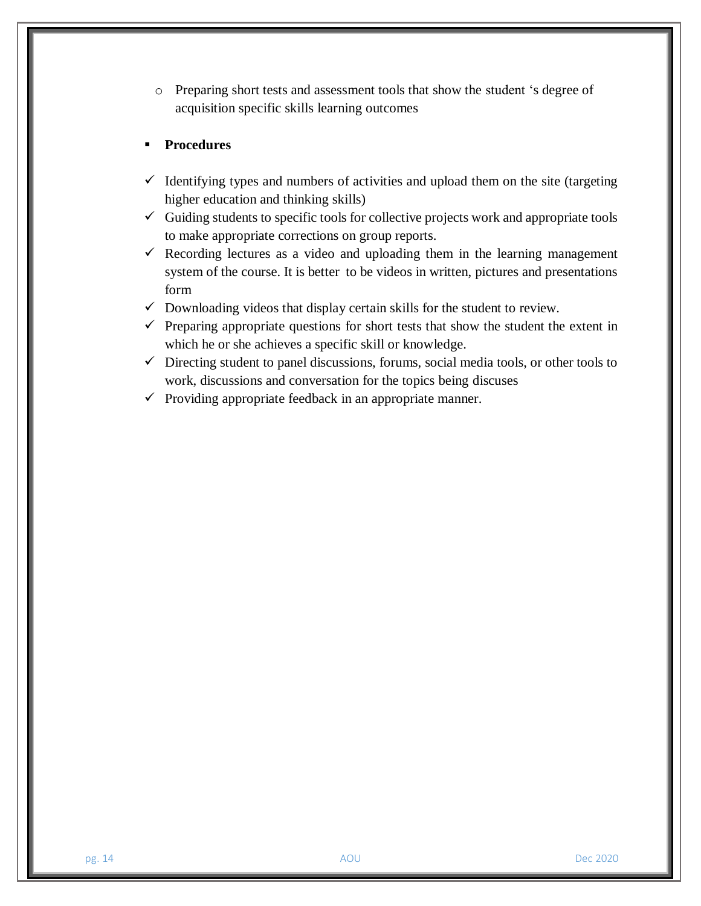o Preparing short tests and assessment tools that show the student 's degree of acquisition specific skills learning outcomes

- $\checkmark$  Identifying types and numbers of activities and upload them on the site (targeting higher education and thinking skills)
- $\checkmark$  Guiding students to specific tools for collective projects work and appropriate tools to make appropriate corrections on group reports.
- $\checkmark$  Recording lectures as a video and uploading them in the learning management system of the course. It is better to be videos in written, pictures and presentations form
- $\checkmark$  Downloading videos that display certain skills for the student to review.
- $\checkmark$  Preparing appropriate questions for short tests that show the student the extent in which he or she achieves a specific skill or knowledge.
- $\checkmark$  Directing student to panel discussions, forums, social media tools, or other tools to work, discussions and conversation for the topics being discuses
- $\checkmark$  Providing appropriate feedback in an appropriate manner.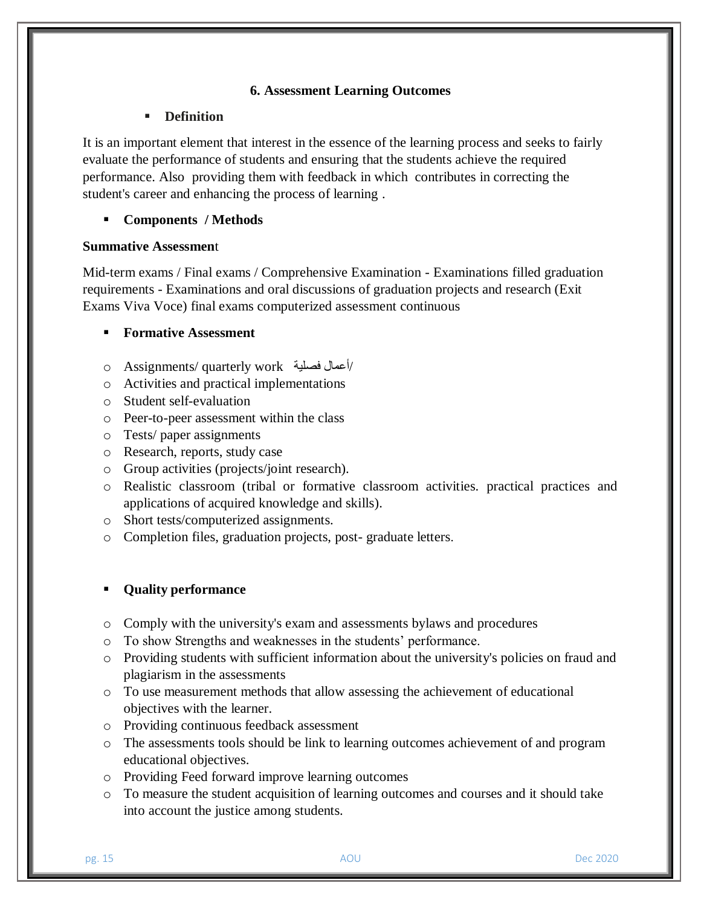# **6. Assessment Learning Outcomes**

## **Definition**

It is an important element that interest in the essence of the learning process and seeks to fairly evaluate the performance of students and ensuring that the students achieve the required performance. Also providing them with feedback in which contributes in correcting the student's career and enhancing the process of learning .

# **Components / Methods**

## **Summative Assessmen**t

Mid-term exams / Final exams / Comprehensive Examination - Examinations filled graduation requirements - Examinations and oral discussions of graduation projects and research (Exit Exams Viva Voce) final exams computerized assessment continuous

# **Formative Assessment**

- o Assignments/ quarterly work فصلية أعمال/
- o Activities and practical implementations
- o Student self-evaluation
- o Peer-to-peer assessment within the class
- o Tests/ paper assignments
- o Research, reports, study case
- o Group activities (projects/joint research).
- o Realistic classroom (tribal or formative classroom activities. practical practices and applications of acquired knowledge and skills).
- o Short tests/computerized assignments.
- o Completion files, graduation projects, post- graduate letters.

## **Quality performance**

- o Comply with the university's exam and assessments bylaws and procedures
- o To show Strengths and weaknesses in the students' performance.
- o Providing students with sufficient information about the university's policies on fraud and plagiarism in the assessments
- o To use measurement methods that allow assessing the achievement of educational objectives with the learner.
- o Providing continuous feedback assessment
- o The assessments tools should be link to learning outcomes achievement of and program educational objectives.
- o Providing Feed forward improve learning outcomes
- o To measure the student acquisition of learning outcomes and courses and it should take into account the justice among students.